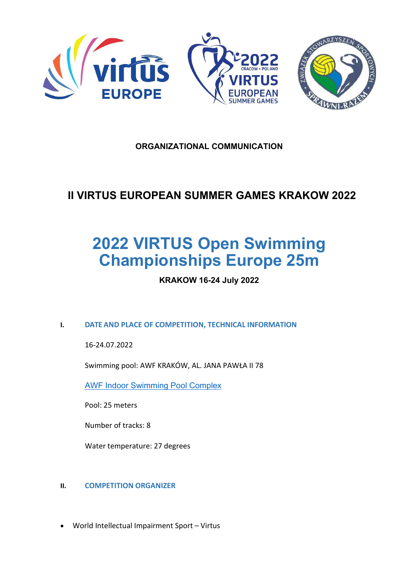

## **ORGANIZATIONAL COMMUNICATION**

# **II VIRTUS EUROPEAN SUMMER GAMES KRAKOW 2022**

# **2022 VIRTUS Open Swimming Championships Europe 25m**

### **KRAKOW 16-24 July 2022**

#### **I. DATE AND PLACE OF COMPETITION, TECHNICAL INFORMATION**

16-24.07.2022

Swimming pool: AWF KRAKÓW, AL. JANA PAWŁA II 78

AWF Indoor Swimming Pool Complex

Pool: 25 meters

Number of tracks: 8

Water temperature: 27 degrees

#### **II. COMPETITION ORGANIZER**

• World Intellectual Impairment Sport – Virtus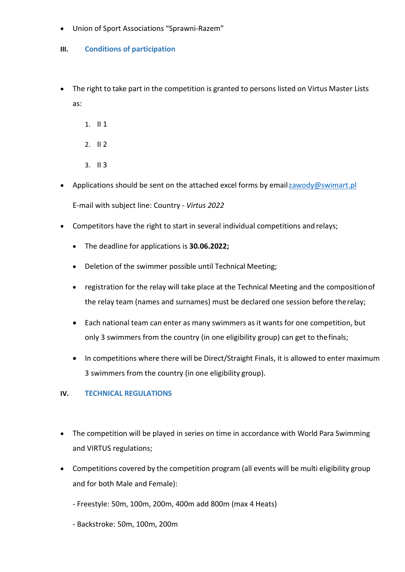• Union of Sport Associations "Sprawni-Razem"

#### **III. Conditions of participation**

- The right to take part in the competition is granted to persons listed on Virtus Master Lists as:
	- 1. II 1
	- 2. II 2
	- 3. II 3
- Applications should be sent on the attached excel forms by email zawody@swimart.pl E-mail with subject line: Country - *Virtus 2022*
- Competitors have the right to start in several individual competitions and relays;
	- The deadline for applications is **30.06.2022;**
	- Deletion of the swimmer possible until Technical Meeting;
	- registration for the relay will take place at the Technical Meeting and the compositionof the relay team (names and surnames) must be declared one session before therelay;
	- Each national team can enter as many swimmers as it wants for one competition, but only 3 swimmers from the country (in one eligibility group) can get to thefinals;
	- In competitions where there will be Direct/Straight Finals, it is allowed to enter maximum 3 swimmers from the country (in one eligibility group).

#### **IV. TECHNICAL REGULATIONS**

- The competition will be played in series on time in accordance with World Para Swimming and VIRTUS regulations;
- Competitions covered by the competition program (all events will be multi eligibility group and for both Male and Female):
	- Freestyle: 50m, 100m, 200m, 400m add 800m (max 4 Heats)
	- Backstroke: 50m, 100m, 200m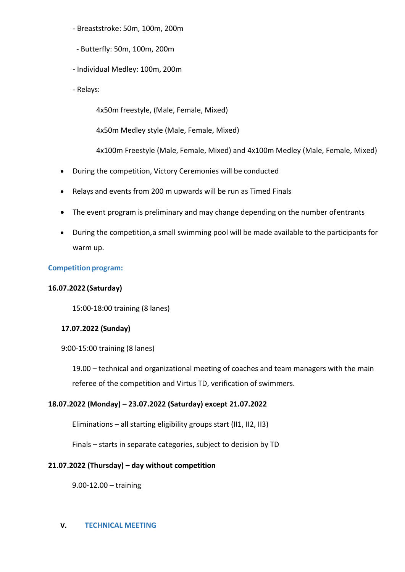- Breaststroke: 50m, 100m, 200m
- Butterfly: 50m, 100m, 200m
- Individual Medley: 100m, 200m
- Relays:

4x50m freestyle, (Male, Female, Mixed)

4x50m Medley style (Male, Female, Mixed)

4x100m Freestyle (Male, Female, Mixed) and 4x100m Medley (Male, Female, Mixed)

- During the competition, Victory Ceremonies will be conducted
- Relays and events from 200 m upwards will be run as Timed Finals
- The event program is preliminary and may change depending on the number ofentrants
- During the competition,a small swimming pool will be made available to the participants for warm up.

#### **Competition program:**

#### **16.07.2022 (Saturday)**

15:00-18:00 training (8 lanes)

#### **17.07.2022 (Sunday)**

9:00-15:00 training (8 lanes)

19.00 – technical and organizational meeting of coaches and team managers with the main referee of the competition and Virtus TD, verification of swimmers.

#### **18.07.2022 (Monday) – 23.07.2022 (Saturday) except 21.07.2022**

Eliminations – all starting eligibility groups start (II1, II2, II3)

Finals – starts in separate categories, subject to decision by TD

#### **21.07.2022 (Thursday) – day without competition**

9.00-12.00 – training